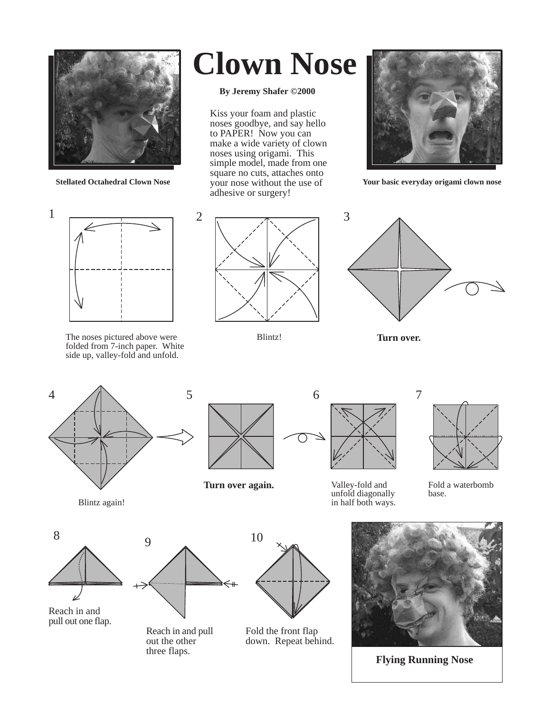

## **Clown Nose**

## **By Jeremy Shafer ©2000**

Kiss your foam and plastic noses goodbye, and say hello to PAPER! Now you can make a wide variety of clown noses using origami. This simple model, made from one square no cuts, attaches onto your nose without the use of adhesive or surgery!



**Stellated Octahedral Clown Nose** *Your nose without the use of**Your basic everyday origami clown nose* 



The noses pictured above were **Turn over. Turn over. Turn over.** folded from 7-inch paper. White side up, valley-fold and unfold.



Blintz!





Blintz again!



**Turn over again.**



Valley-fold and unfold diagonally in half both ways.



Fold a waterbomb base.



Reach in and pull out one flap.



Reach in and pull out the other three flaps.



Fold the front flap down. Repeat behind.



**Flying Running Nose**